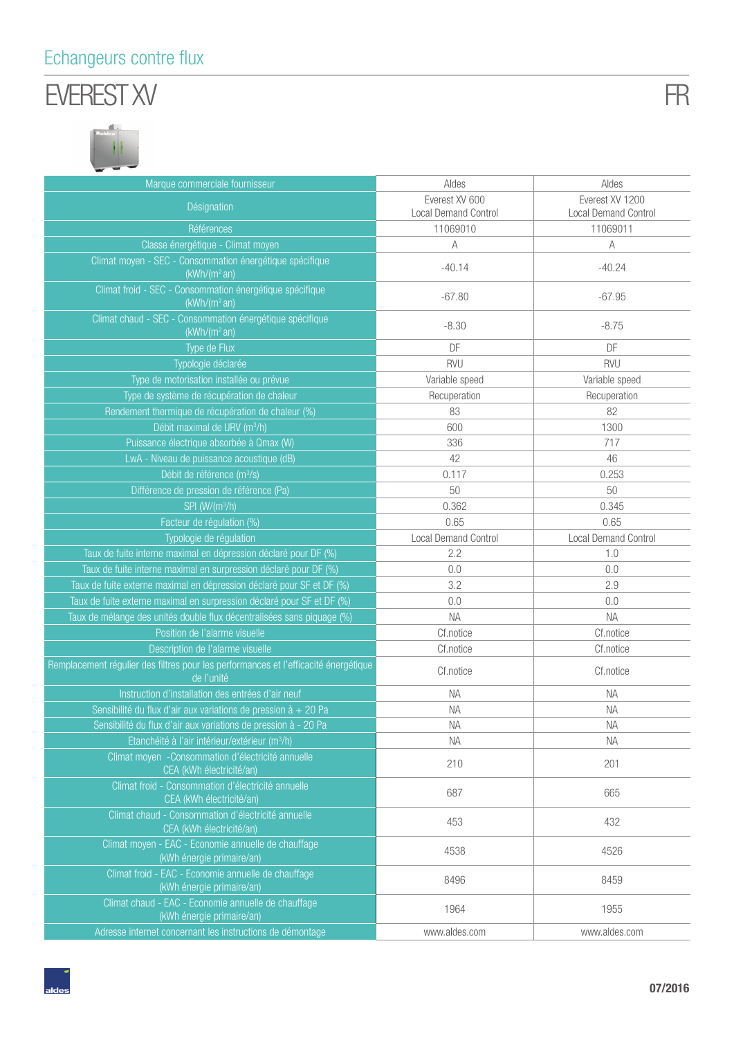### Echangeurs contre flux

# EVEREST XV





| Marque commerciale fournisseur                                                                    | Aldes                                         | Aldes                                   |
|---------------------------------------------------------------------------------------------------|-----------------------------------------------|-----------------------------------------|
| Désignation                                                                                       | Everest XV 600<br><b>Local Demand Control</b> | Everest XV 1200<br>Local Demand Control |
| Références                                                                                        | 11069010                                      | 11069011                                |
| Classe énergétique - Climat moyen                                                                 | A                                             | A                                       |
| Climat moyen - SEC - Consommation énergétique spécifique<br>(kWh/(m <sup>2</sup> an))             | $-40.14$                                      | $-40.24$                                |
| Climat froid - SEC - Consommation énergétique spécifique<br>(kWh/(m <sup>2</sup> an))             | $-67.80$                                      | $-67.95$                                |
| Climat chaud - SEC - Consommation énergétique spécifique<br>(kWh/(m <sup>2</sup> an))             | $-8.30$                                       | $-8.75$                                 |
| Type de Flux                                                                                      | DF                                            | DF                                      |
| Typologie déclarée                                                                                | <b>RVU</b>                                    | <b>RVU</b>                              |
| Type de motorisation installée ou prévue                                                          | Variable speed                                | Variable speed                          |
| Type de système de récupération de chaleur                                                        | Recuperation                                  | Recuperation                            |
| Rendement thermique de récupération de chaleur (%)                                                | 83                                            | 82                                      |
| Débit maximal de URV (m <sup>3</sup> /h)                                                          | 600                                           | 1300                                    |
| Puissance électrique absorbée à Qmax (W)                                                          | 336                                           | 717                                     |
| LwA - Niveau de puissance acoustique (dB)                                                         | 42                                            | 46                                      |
| Débit de référence (m <sup>3</sup> /s)                                                            | 0.117                                         | 0.253                                   |
| Différence de pression de référence (Pa)                                                          | 50                                            | 50                                      |
| SPI (W/(m <sup>3</sup> /h)                                                                        | 0.362                                         | 0.345                                   |
| Facteur de régulation (%)                                                                         | 0.65                                          | 0.65                                    |
| Typologie de régulation                                                                           | <b>Local Demand Control</b>                   | Local Demand Control                    |
| Taux de fuite interne maximal en dépression déclaré pour DF (%)                                   | 2.2                                           | 1.0                                     |
| Taux de fuite interne maximal en surpression déclaré pour DF (%)                                  | 0.0                                           | 0.0                                     |
| Taux de fuite externe maximal en dépression déclaré pour SF et DF (%)                             | 3.2                                           | 2.9                                     |
| Taux de fuite externe maximal en surpression déclaré pour SF et DF (%)                            | 0.0                                           | 0.0                                     |
| Taux de mélange des unités double flux décentralisées sans piquage (%)                            | <b>NA</b>                                     | <b>NA</b>                               |
| Position de l'alarme visuelle                                                                     | Cf.notice                                     | Cf.notice                               |
| Description de l'alarme visuelle                                                                  | Cf.notice                                     | Cf.notice                               |
| Remplacement régulier des filtres pour les performances et l'efficacité énergétique<br>de l'unité | Cf.notice                                     | Cf.notice                               |
| Instruction d'installation des entrées d'air neuf                                                 | <b>NA</b>                                     | <b>NA</b>                               |
| Sensibilité du flux d'air aux variations de pression à + 20 Pa                                    | <b>NA</b>                                     | <b>NA</b>                               |
| Sensibilité du flux d'air aux variations de pression à - 20 Pa                                    | NA                                            | <b>NA</b>                               |
| Etanchéité à l'air intérieur/extérieur (m <sup>3</sup> /h)                                        | <b>NA</b>                                     | <b>NA</b>                               |
| Climat moyen - Consommation d'électricité annuelle<br>CEA (kWh électricité/an)                    | 210                                           | 201                                     |
| Climat froid - Consommation d'électricité annuelle<br>CEA (kWh électricité/an)                    | 687                                           | 665                                     |
| Climat chaud - Consommation d'électricité annuelle<br>CEA (kWh électricité/an)                    | 453                                           | 432                                     |
| Climat moyen - EAC - Economie annuelle de chauffage<br>(kWh énergie primaire/an)                  | 4538                                          | 4526                                    |
| Climat froid - EAC - Economie annuelle de chauffage<br>(kWh énergie primaire/an)                  | 8496                                          | 8459                                    |
| Climat chaud - EAC - Economie annuelle de chauffage<br>(kWh énergie primaire/an)                  | 1964                                          | 1955                                    |
| Adresse internet concernant les instructions de démontage                                         | www.aldes.com                                 | www.aldes.com                           |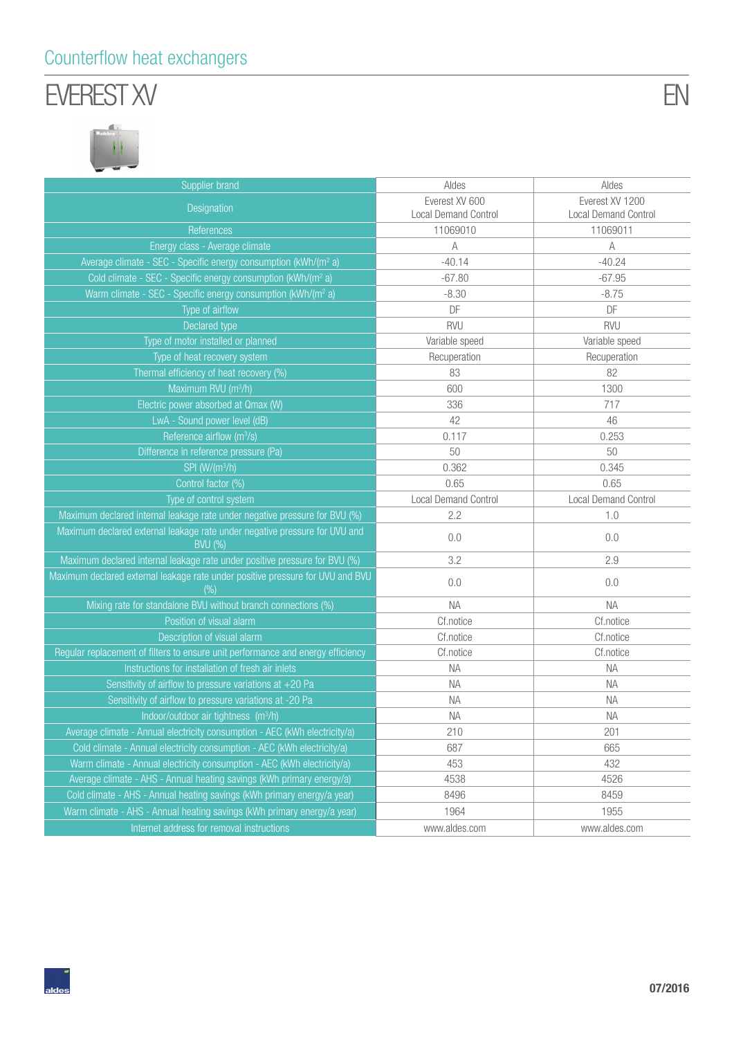#### Counterflow heat exchangers

## EVEREST XV



| Supplier brand                                                                               | Aldes                       | Aldes                       |
|----------------------------------------------------------------------------------------------|-----------------------------|-----------------------------|
| Designation                                                                                  | Everest XV 600              | Everest XV 1200             |
|                                                                                              | <b>Local Demand Control</b> | Local Demand Control        |
| References                                                                                   | 11069010                    | 11069011                    |
| Energy class - Average climate                                                               | $\mathbb A$                 | А                           |
| Average climate - SEC - Specific energy consumption (kWh/(m <sup>2</sup> a)                  | $-40.14$                    | $-40.24$                    |
| Cold climate - SEC - Specific energy consumption (kWh/(m <sup>2</sup> a)                     | $-67.80$                    | $-67.95$                    |
| Warm climate - SEC - Specific energy consumption (kWh/(m <sup>2</sup> a)                     | $-8.30$                     | $-8.75$                     |
| Type of airflow                                                                              | DF                          | DF                          |
| Declared type                                                                                | <b>RVU</b>                  | RVU                         |
| Type of motor installed or planned                                                           | Variable speed              | Variable speed              |
| Type of heat recovery system                                                                 | Recuperation                | Recuperation                |
| Thermal efficiency of heat recovery (%)                                                      | 83                          | 82                          |
| Maximum RVU (m <sup>3</sup> /h)                                                              | 600                         | 1300                        |
| Electric power absorbed at Qmax (W)                                                          | 336                         | 717                         |
| LwA - Sound power level (dB)                                                                 | 42                          | 46                          |
| Reference airflow (m <sup>3</sup> /s)                                                        | 0.117                       | 0.253                       |
| Difference in reference pressure (Pa)                                                        | 50                          | 50                          |
| SPI (W/(m <sup>3</sup> /h)                                                                   | 0.362                       | 0.345                       |
| Control factor (%)                                                                           | 0.65                        | 0.65                        |
| Type of control system                                                                       | <b>Local Demand Control</b> | <b>Local Demand Control</b> |
| Maximum declared internal leakage rate under negative pressure for BVU (%)                   | 2.2                         | 1.0                         |
| Maximum declared external leakage rate under negative pressure for UVU and<br><b>BVU (%)</b> | 0.0                         | 0.0                         |
| Maximum declared internal leakage rate under positive pressure for BVU (%)                   | 3.2                         | 2.9                         |
| Maximum declared external leakage rate under positive pressure for UVU and BVU<br>(%)        | 0.0                         | 0.0                         |
| Mixing rate for standalone BVU without branch connections (%)                                | <b>NA</b>                   | <b>NA</b>                   |
| Position of visual alarm                                                                     | Cf.notice                   | Cf.notice                   |
| Description of visual alarm                                                                  | Cf.notice                   | Cf.notice                   |
| Regular replacement of filters to ensure unit performance and energy efficiency              | Cf.notice                   | Cf.notice                   |
| Instructions for installation of fresh air inlets                                            | <b>NA</b>                   | <b>NA</b>                   |
| Sensitivity of airflow to pressure variations at $+20$ Pa                                    | NA                          | <b>NA</b>                   |
| Sensitivity of airflow to pressure variations at -20 Pa                                      | NA                          | <b>NA</b>                   |
| Indoor/outdoor air tightness (m <sup>3</sup> /h)                                             | <b>NA</b>                   | <b>NA</b>                   |
| Average climate - Annual electricity consumption - AEC (kWh electricity/a)                   | 210                         | 201                         |
| Cold climate - Annual electricity consumption - AEC (kWh electricity/a)                      | 687                         | 665                         |
| Warm climate - Annual electricity consumption - AEC (kWh electricity/a)                      | 453                         | 432                         |
| Average climate - AHS - Annual heating savings (kWh primary energy/a)                        | 4538                        | 4526                        |
| Cold climate - AHS - Annual heating savings (kWh primary energy/a year)                      | 8496                        | 8459                        |
| Warm climate - AHS - Annual heating savings (kWh primary energy/a year)                      | 1964                        | 1955                        |
| Internet address for removal instructions                                                    | www.aldes.com               | www.aldes.com               |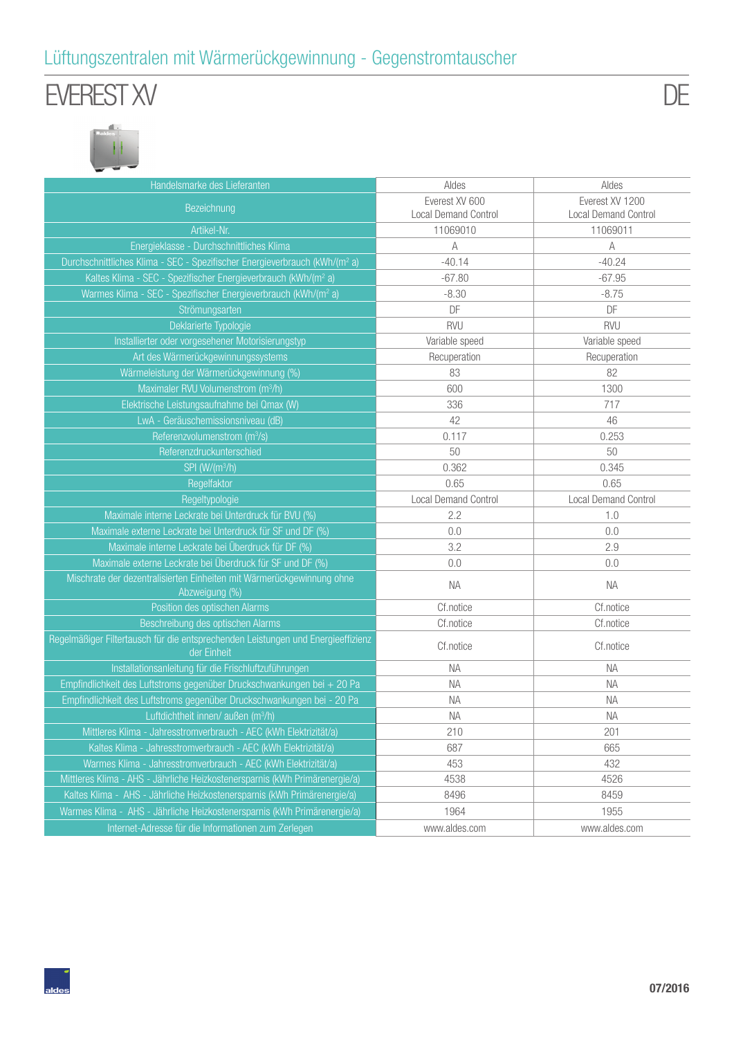#### Lüftungszentralen mit Wärmerückgewinnung - Gegenstromtauscher

## EVEREST XV

DE



| Handelsmarke des Lieferanten                                                                    | Aldes                                         | Aldes                                          |
|-------------------------------------------------------------------------------------------------|-----------------------------------------------|------------------------------------------------|
| Bezeichnung                                                                                     | Everest XV 600<br><b>Local Demand Control</b> | Everest XV 1200<br><b>Local Demand Control</b> |
| Artikel-Nr.                                                                                     | 11069010                                      | 11069011                                       |
| Energieklasse - Durchschnittliches Klima                                                        | A                                             | A                                              |
| Durchschnittliches Klima - SEC - Spezifischer Energieverbrauch (kWh/(m <sup>2</sup> a)          | $-40.14$                                      | $-40.24$                                       |
| Kaltes Klima - SEC - Spezifischer Energieverbrauch (kWh/(m <sup>2</sup> a)                      | $-67.80$                                      | $-67.95$                                       |
| Warmes Klima - SEC - Spezifischer Energieverbrauch (kWh/(m <sup>2</sup> a)                      | $-8.30$                                       | $-8.75$                                        |
| Strömungsarten                                                                                  | DF                                            | DF                                             |
| Deklarierte Typologie                                                                           | <b>RVU</b>                                    | <b>RVU</b>                                     |
| Installierter oder vorgesehener Motorisierungstyp                                               | Variable speed                                | Variable speed                                 |
| Art des Wärmerückgewinnungssystems                                                              | Recuperation                                  | Recuperation                                   |
| Wärmeleistung der Wärmerückgewinnung (%)                                                        | 83                                            | 82                                             |
| Maximaler RVU Volumenstrom (m <sup>3</sup> /h)                                                  | 600                                           | 1300                                           |
| Elektrische Leistungsaufnahme bei Qmax (W)                                                      | 336                                           | 717                                            |
| LwA - Geräuschemissionsniveau (dB)                                                              | 42                                            | 46                                             |
| Referenzvolumenstrom (m <sup>3</sup> /s)                                                        | 0.117                                         | 0.253                                          |
| Referenzdruckunterschied                                                                        | 50                                            | 50                                             |
| SPI (W/(m <sup>3</sup> /h)                                                                      | 0.362                                         | 0.345                                          |
| Regelfaktor                                                                                     | 0.65                                          | 0.65                                           |
| Regeltypologie                                                                                  | <b>Local Demand Control</b>                   | <b>Local Demand Control</b>                    |
| Maximale interne Leckrate bei Unterdruck für BVU (%)                                            | 2.2                                           | 1.0                                            |
| Maximale externe Leckrate bei Unterdruck für SF und DF (%)                                      | 0.0                                           | 0.0                                            |
| Maximale interne Leckrate bei Überdruck für DF (%)                                              | 3.2                                           | 2.9                                            |
| Maximale externe Leckrate bei Überdruck für SF und DF (%)                                       | 0.0                                           | 0.0                                            |
| Mischrate der dezentralisierten Einheiten mit Wärmerückgewinnung ohne<br>Abzweigung (%)         | <b>NA</b>                                     | <b>NA</b>                                      |
| Position des optischen Alarms                                                                   | Cf.notice                                     | Cf.notice                                      |
| Beschreibung des optischen Alarms                                                               | Cf.notice                                     | Cf.notice                                      |
| Regelmäßiger Filtertausch für die entsprechenden Leistungen und Energieeffizienz<br>der Einheit | Cf.notice                                     | Cf.notice                                      |
| Installationsanleitung für die Frischluftzuführungen                                            | <b>NA</b>                                     | <b>NA</b>                                      |
| Empfindlichkeit des Luftstroms gegenüber Druckschwankungen bei + 20 Pa                          | <b>NA</b>                                     | <b>NA</b>                                      |
| Empfindlichkeit des Luftstroms gegenüber Druckschwankungen bei - 20 Pa                          | <b>NA</b>                                     | <b>NA</b>                                      |
| Luftdichtheit innen/ außen (m <sup>3</sup> /h)                                                  | <b>NA</b>                                     | <b>NA</b>                                      |
| Mittleres Klima - Jahresstromverbrauch - AEC (kWh Elektrizität/a)                               | 210                                           | 201                                            |
| Kaltes Klima - Jahresstromverbrauch - AEC (kWh Elektrizität/a)                                  | 687                                           | 665                                            |
| Warmes Klima - Jahresstromverbrauch - AEC (kWh Elektrizität/a)                                  | 453                                           | 432                                            |
| Mittleres Klima - AHS - Jährliche Heizkostenersparnis (kWh Primärenergie/a)                     | 4538                                          | 4526                                           |
| Kaltes Klima - AHS - Jährliche Heizkostenersparnis (kWh Primärenergie/a)                        | 8496                                          | 8459                                           |
| Warmes Klima - AHS - Jährliche Heizkostenersparnis (kWh Primärenergie/a)                        | 1964                                          | 1955                                           |
| Internet-Adresse für die Informationen zum Zerlegen                                             | www.aldes.com                                 | www.aldes.com                                  |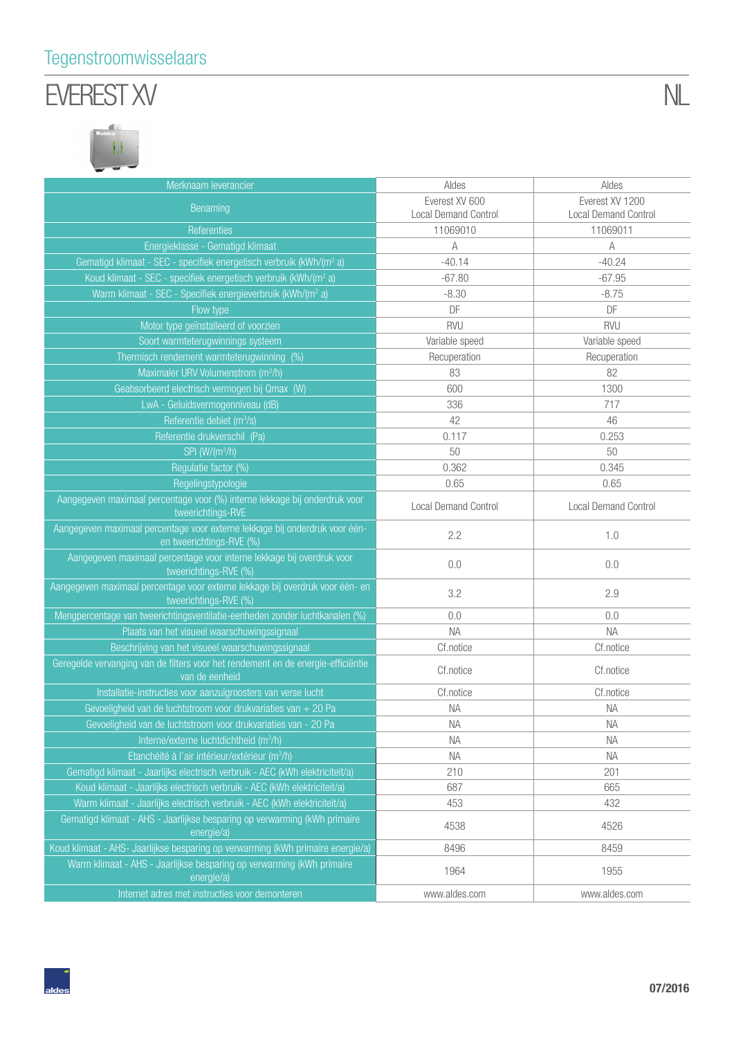#### Tegenstroomwisselaars

# EVEREST XV

| Merknaam leverancier                                                                                    | Aldes                                         | Aldes                                   |
|---------------------------------------------------------------------------------------------------------|-----------------------------------------------|-----------------------------------------|
| Benaming                                                                                                | Everest XV 600<br><b>Local Demand Control</b> | Everest XV 1200<br>Local Demand Control |
| Referenties                                                                                             | 11069010                                      | 11069011                                |
| Energieklasse - Gematigd klimaat                                                                        | А                                             | A                                       |
| Gematigd klimaat - SEC - specifiek energetisch verbruik (kWh/(m <sup>2</sup> a)                         | $-40.14$                                      | $-40.24$                                |
| Koud klimaat - SEC - specifiek energetisch verbruik (kWh/(m <sup>2</sup> a)                             | $-67.80$                                      | $-67.95$                                |
| Warm klimaat - SEC - Specifiek energieverbruik (kWh/(m <sup>2</sup> a)                                  | $-8.30$                                       | $-8.75$                                 |
| Flow type                                                                                               | DF                                            | DF                                      |
| Motor type geïnstalleerd of voorzien                                                                    | <b>RVU</b>                                    | <b>RVU</b>                              |
| Soort warmteterugwinnings systeem                                                                       | Variable speed                                | Variable speed                          |
| Thermisch rendement warmteterugwinning (%)                                                              | Recuperation                                  | Recuperation                            |
| Maximaler URV Volumenstrom (m <sup>3</sup> /h)                                                          | 83                                            | 82                                      |
| Geabsorbeerd electrisch vermogen bij Qmax (W)                                                           | 600                                           | 1300                                    |
| LwA - Geluidsvermogenniveau (dB)                                                                        | 336                                           | 717                                     |
| Referentie debiet (m <sup>3</sup> /s)                                                                   | 42                                            | 46                                      |
| Referentie drukverschil (Pa)                                                                            | 0.117                                         | 0.253                                   |
| SPI (W/(m <sup>3</sup> /h)                                                                              | 50                                            | 50                                      |
| Regulatie factor (%)                                                                                    | 0.362                                         | 0.345                                   |
| Regelingstypologie                                                                                      | 0.65                                          | 0.65                                    |
| Aangegeven maximaal percentage voor (%) interne lekkage bij onderdruk voor<br>tweerichtings-RVE         | <b>Local Demand Control</b>                   | <b>Local Demand Control</b>             |
| Aangegeven maximaal percentage voor externe lekkage bij onderdruk voor één-<br>en tweerichtings-RVE (%) | 2.2                                           | 1.0                                     |
| Aangegeven maximaal percentage voor interne lekkage bij overdruk voor<br>tweerichtings-RVE (%)          | 0.0                                           | 0.0                                     |
| Aangegeven maximaal percentage voor externe lekkage bij overdruk voor één- en<br>tweerichtings-RVE (%)  | 3.2                                           | 2.9                                     |
| Mengpercentage van tweerichtingsventilatie-eenheden zonder luchtkanalen (%)                             | 0.0                                           | 0.0                                     |
| Plaats van het visueel waarschuwingssignaal                                                             | <b>NA</b>                                     | <b>NA</b>                               |
| Beschrijving van het visueel waarschuwingssignaal                                                       | Cf.notice                                     | Cf.notice                               |
| Geregelde vervanging van de filters voor het rendement en de energie-efficiëntie<br>van de eenheid      | Cf.notice                                     | Cf.notice                               |
| Installatie-instructies voor aanzuigroosters van verse lucht                                            | Cf.notice                                     | Cf.notice                               |
| Gevoeligheid van de luchtstroom voor drukvariaties van + 20 Pa                                          | NA                                            | <b>NA</b>                               |
| Gevoeligheid van de luchtstroom voor drukvariaties van - 20 Pa                                          | <b>NA</b>                                     | <b>NA</b>                               |
| Interne/externe luchtdichtheid $(m^3/h)$                                                                | <b>NA</b>                                     | <b>NA</b>                               |
| Etanchéité à l'air intérieur/extérieur (m <sup>3</sup> /h)                                              | <b>NA</b>                                     | <b>NA</b>                               |
| Gematigd klimaat - Jaarlijks electrisch verbruik - AEC (kWh elektriciteit/a)                            | 210                                           | 201                                     |
| Koud klimaat - Jaarlijks electrisch verbruik - AEC (kWh elektriciteit/a)                                | 687                                           | 665                                     |
| Warm klimaat - Jaarlijks electrisch verbruik - AEC (kWh elektriciteit/a)                                | 453                                           | 432                                     |
| Gematigd klimaat - AHS - Jaarlijkse besparing op verwarming (kWh primaire<br>energie/a)                 | 4538                                          | 4526                                    |
| Koud klimaat - AHS- Jaarlijkse besparing op verwarming (kWh primaire energie/a)                         | 8496                                          | 8459                                    |
| Warm klimaat - AHS - Jaarlijkse besparing op verwarming (kWh primaire<br>energie/a)                     | 1964                                          | 1955                                    |
| Internet adres met instructies voor demonteren                                                          | www.aldes.com                                 | www.aldes.com                           |

NL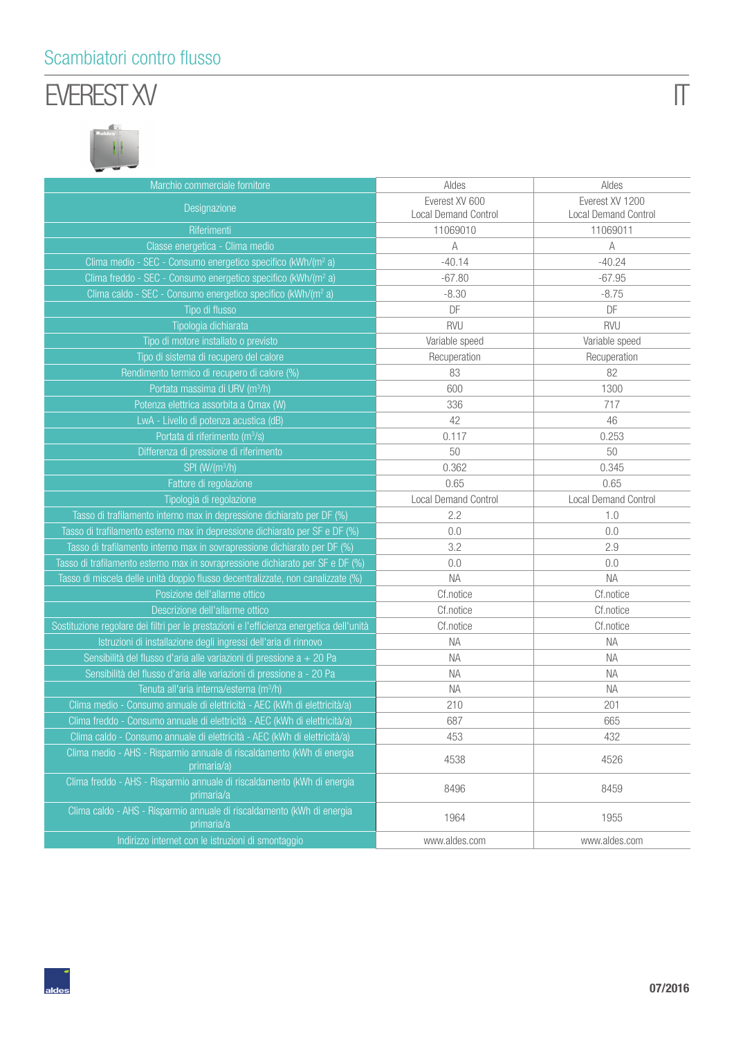#### Scambiatori contro flusso

## EVEREST XV



| Marchio commerciale fornitore                                                            | Aldes                       | Aldes                       |
|------------------------------------------------------------------------------------------|-----------------------------|-----------------------------|
|                                                                                          | Everest XV 600              | Everest XV 1200             |
| Designazione                                                                             | <b>Local Demand Control</b> | <b>Local Demand Control</b> |
| Riferimenti                                                                              | 11069010                    | 11069011                    |
| Classe energetica - Clima medio                                                          | A                           | $\mathbb A$                 |
| Clima medio - SEC - Consumo energetico specifico (kWh/(m <sup>2</sup> a)                 | $-40.14$                    | $-40.24$                    |
| Clima freddo - SEC - Consumo energetico specifico (kWh/(m <sup>2</sup> a)                | $-67.80$                    | $-67.95$                    |
| Clima caldo - SEC - Consumo energetico specifico (kWh/(m <sup>2</sup> a)                 | $-8.30$                     | $-8.75$                     |
| Tipo di flusso                                                                           | DF                          | DF                          |
| Tipologia dichiarata                                                                     | <b>RVU</b>                  | <b>RVU</b>                  |
| Tipo di motore installato o previsto                                                     | Variable speed              | Variable speed              |
| Tipo di sistema di recupero del calore                                                   | Recuperation                | Recuperation                |
| Rendimento termico di recupero di calore (%)                                             | 83                          | 82                          |
| Portata massima di URV (m <sup>3</sup> /h)                                               | 600                         | 1300                        |
| Potenza elettrica assorbita a Qmax (W)                                                   | 336                         | 717                         |
| LwA - Livello di potenza acustica (dB)                                                   | 42                          | 46                          |
| Portata di riferimento (m <sup>3</sup> /s)                                               | 0.117                       | 0.253                       |
| Differenza di pressione di riferimento                                                   | 50                          | 50                          |
| SPI (W/(m <sup>3</sup> /h)                                                               | 0.362                       | 0.345                       |
| Fattore di regolazione                                                                   | 0.65                        | 0.65                        |
| Tipologia di regolazione                                                                 | <b>Local Demand Control</b> | <b>Local Demand Control</b> |
| Tasso di trafilamento interno max in depressione dichiarato per DF (%)                   | 2.2                         | 1.0                         |
| Tasso di trafilamento esterno max in depressione dichiarato per SF e DF (%)              | 0.0                         | 0.0                         |
| Tasso di trafilamento interno max in sovrapressione dichiarato per DF (%)                | 3.2                         | 2.9                         |
| Tasso di trafilamento esterno max in sovrapressione dichiarato per SF e DF (%)           | 0.0                         | 0.0                         |
| Tasso di miscela delle unità doppio flusso decentralizzate, non canalizzate (%)          | <b>NA</b>                   | <b>NA</b>                   |
| Posizione dell'allarme ottico                                                            | Cf.notice                   | Cf.notice                   |
| Descrizione dell'allarme ottico                                                          | Cf.notice                   | Cf.notice                   |
| Sostituzione regolare dei filtri per le prestazioni e l'efficienza energetica dell'unità | Cf.notice                   | Cf.notice                   |
| Istruzioni di installazione degli ingressi dell'aria di rinnovo                          | <b>NA</b>                   | <b>NA</b>                   |
| Sensibilità del flusso d'aria alle variazioni di pressione $a + 20$ Pa                   | ΝA                          | <b>NA</b>                   |
| Sensibilità del flusso d'aria alle variazioni di pressione a - 20 Pa                     | NА                          | <b>NA</b>                   |
| Tenuta all'aria interna/esterna (m <sup>3</sup> /h)                                      | <b>NA</b>                   | <b>NA</b>                   |
| Clima medio - Consumo annuale di elettricità - AEC (kWh di elettricità/a)                | 210                         | 201                         |
| Clima freddo - Consumo annuale di elettricità - AEC (kWh di elettricità/a)               | 687                         | 665                         |
| Clima caldo - Consumo annuale di elettricità - AEC (kWh di elettricità/a)                | 453                         | 432                         |
| Clima medio - AHS - Risparmio annuale di riscaldamento (kWh di energia<br>primaria/a)    | 4538                        | 4526                        |
| Clima freddo - AHS - Risparmio annuale di riscaldamento (kWh di energia<br>primaria/a    | 8496                        | 8459                        |
| Clima caldo - AHS - Risparmio annuale di riscaldamento (kWh di energia<br>primaria/a     | 1964                        | 1955                        |
| Indirizzo internet con le istruzioni di smontaggio                                       | www.aldes.com               | www.aldes.com               |

 $\overline{\Pi}$